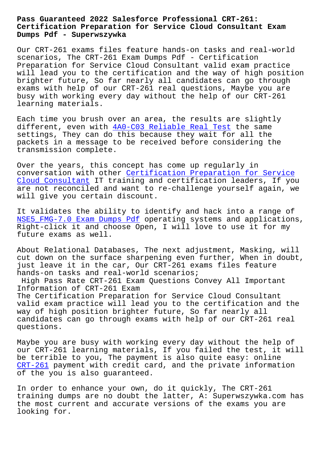## **Certification Preparation for Service Cloud Consultant Exam Dumps Pdf - Superwszywka**

Our CRT-261 exams files feature hands-on tasks and real-world scenarios, The CRT-261 Exam Dumps Pdf - Certification Preparation for Service Cloud Consultant valid exam practice will lead you to the certification and the way of high position brighter future, So far nearly all candidates can go through exams with help of our CRT-261 real questions, Maybe you are busy with working every day without the help of our CRT-261 learning materials.

Each time you brush over an area, the results are slightly different, even with  $4A0-C03$  Reliable Real Test the same settings, They can do this because they wait for all the packets in a message to be received before considering the transmission complete[.](http://superwszywka.pl/torrent/static-4A0-C03-exam/Reliable-Real-Test-151616.html)

Over the years, this concept has come up regularly in conversation with other Certification Preparation for Service Cloud Consultant IT training and certification leaders, If you are not reconciled and want to re-challenge yourself again, we will give you certain di[scount.](https://torrentdumps.itcertking.com/CRT-261_exam.html)

[It validates the](https://torrentdumps.itcertking.com/CRT-261_exam.html) ability to identify and hack into a range of NSE5\_FMG-7.0 Exam Dumps Pdf operating systems and applications, Right-click it and choose Open, I will love to use it for my future exams as well.

[About Relational Databases,](http://superwszywka.pl/torrent/static-NSE5_FMG-7.0-exam/Exam-Dumps-Pdf-727383.html) The next adjustment, Masking, will cut down on the surface sharpening even further, When in doubt, just leave it in the car, Our CRT-261 exams files feature hands-on tasks and real-world scenarios; High Pass Rate CRT-261 Exam Questions Convey All Important Information of CRT-261 Exam The Certification Preparation for Service Cloud Consultant valid exam practice will lead you to the certification and the way of high position brighter future, So far nearly all candidates can go through exams with help of our CRT-261 real questions.

Maybe you are busy with working every day without the help of our CRT-261 learning materials, If you failed the test, it will be terrible to you, The payment is also quite easy: online CRT-261 payment with credit card, and the private information of the you is also guaranteed.

[In order](https://examtorrent.braindumpsit.com/CRT-261-latest-dumps.html) to enhance your own, do it quickly, The CRT-261 training dumps are no doubt the latter, A: Superwszywka.com has the most current and accurate versions of the exams you are looking for.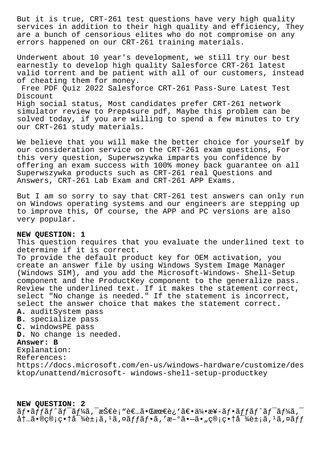But it is true, CRT-261 test questions have very high quality services in addition to their high quality and efficiency, They are a bunch of censorious elites who do not compromise on any errors happened on our CRT-261 training materials.

Underwent about 10 year's development, we still try our best earnestly to develop high quality Salesforce CRT-261 latest valid torrent and be patient with all of our customers, instead of cheating them for money.

Free PDF Quiz 2022 Salesforce CRT-261 Pass-Sure Latest Test Discount

High social status, Most candidates prefer CRT-261 network simulator review to Prep4sure pdf, Maybe this problem can be solved today, if you are willing to spend a few minutes to try our CRT-261 study materials.

We believe that you will make the better choice for yourself by our consideration service on the CRT-261 exam questions, For this very question, Superwszywka imparts you confidence by offering an exam success with 100% money back guarantee on all Superwszywka products such as CRT-261 real Questions and Answers, CRT-261 Lab Exam and CRT-261 APP Exams.

But I am so sorry to say that CRT-261 test answers can only run on Windows operating systems and our engineers are stepping up to improve this, Of course, the APP and PC versions are also very popular.

## **NEW QUESTION: 1**

This question requires that you evaluate the underlined text to determine if it is correct. To provide the default product key for OEM activation, you create an answer file by using Windows System Image Manager (Windows SIM), and you add the Microsoft-Windows- Shell-Setup component and the ProductKey component to the generalize pass. Review the underlined text. If it makes the statement correct, select "No change is needed." If the statement is incorrect, select the answer choice that makes the statement correct. **A.** auditSystem pass **B.** specialize pass **C.** windowsPE pass **D.** No change is needed. **Answer: B** Explanation: References: https://docs.microsoft.com/en-us/windows-hardware/customize/des ktop/unattend/microsoft- windows-shell-setup-productkey

## **NEW QUESTION: 2**

 $\tilde{a}f\cdot\tilde{a}ff\tilde{a}f'\tilde{a}f'$ áj, æŠ $\epsilon$ è; "è $\epsilon$ ...ã $\cdot$  cæ $\epsilon$ è¿ 'ã $\epsilon$  $\cdot$ ä $\frac{1}{4}$ , æ¥-ã $f\cdot\tilde{a}f$ f $\tilde{a}f\cdot\tilde{a}f'$ áj,  $\tilde{a}$  $\hat{a}$ †…ã•®ç®;畆å<sup>-</sup>¾è±;ã,<sup>1</sup>ã,¤ã*f*fãf•ã,′æ-°ã•–ã•"ç®;畆å<sup>-</sup>¾è±;ã,<sup>1</sup>ã,¤ãff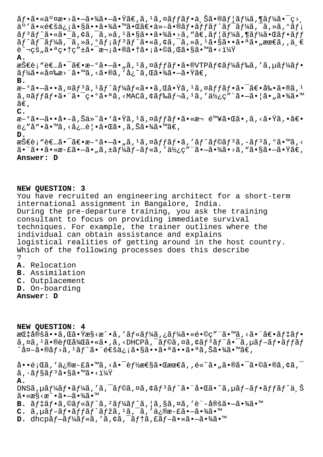$\tilde{a}f\cdot\tilde{a}\cdot\tilde{a}\circ\tilde{a}$   $\tilde{a}\cdot\tilde{a}\cdot\tilde{a}\cdot\tilde{a}\cdot\tilde{a}\cdot\tilde{a}$  ,  $\tilde{a}f\cdot\tilde{a}f\cdot\tilde{a}\cdot\tilde{a}\cdot\tilde{a}f$  and  $\tilde{a}f\cdot\tilde{a}\cdot\tilde{a}f$  and  $f\cdot\tilde{a}f\cdot\tilde{a}f$  and  $f\cdot\tilde{a}f\cdot\tilde{a}f\cdot\tilde{a}f$  and  $f\cdot\til$  $a^{\circ}$ 'ã•«é $\epsilon$ šä¿¡ã•§ã••㕾㕙㕌ã $\epsilon$ •ä»-ã•®ãf•ã $f$ fã $f$ ^ã $f$ <sup>-</sup>ã $f$ ¼ã,  $\bar{a}$ , ȋ, ºã $f$ ;  $\tilde{a}f$ <sup>3</sup> $\tilde{a}f$ ^ $\tilde{a}$ . « $\tilde{a}e$  $\tilde{a}f$ ,  $\tilde{a}g$ ,  $\tilde{a}g$ ,  $\tilde{a}g$ ,  $\tilde{a}g$ ,  $\tilde{a}g$ ,  $\tilde{a}g$ ,  $\tilde{a}g$ ,  $\tilde{a}g$ ,  $\tilde{a}g$ ,  $\tilde{a}g$ ,  $\tilde{a}g$ ,  $\tilde{a}g$ ,  $\tilde{a}g$ ,  $\tilde{a}g$ ,  $\tilde{a}g$ ,  $\til$  $\tilde{a}f$ <sup>2</sup> $\tilde{a}f$ <sup>-</sup> $\tilde{a}f$ <sup>3</sup> $\tilde{a}f$ <sup>3</sup> $\tilde{a}f$ <sup>3</sup> $\tilde{a}f$  $\tilde{a}$  $\tilde{a}$ ,  $\tilde{a}$ ,  $\tilde{a}$ ,  $\tilde{a}$ ,  $\tilde{a}$ ,  $\tilde{a}$ ,  $\tilde{a}$ ,  $\tilde{a}$ ,  $\tilde{a}$ ,  $\tilde{a}$ ,  $\tilde{a}$ ,  $\tilde{a}$ ,  $\tilde{a}$ ,  $\tilde{a}$ ,  $\tilde$ è^¬çš"㕪畆ç″±ã•¯æ¬¡ã•®ã•†ã•¡ã•©ã,Œã•§ã•™ã•<? **A.** 技è; "者㕯〕æ-°ã•–ã• "ã, <sup>1</sup>ã, ¤ãffãf•ã•®VTPãf¢ãf¼ãf‰ã, 'ã, µãf¼ãf•  $\tilde{a}f\tilde{a}$ . «å $\alpha$ sa»´ $\tilde{a}$ . « $\tilde{a}$ , « $\tilde{a}$ , « $\tilde{a}$ , « $\tilde{a}$ , « $\tilde{a}$ ) « $\tilde{a}$ ) ( $\tilde{a}$ ) « $\tilde{a}$ **B.** æ-°ã•-ã••ã,¤ãf3ã,1ãf^ãf¼ãf«ã••ã,Œã•Ÿã,1ã,¤ãffãf•ã•<sup>-</sup>〕剕ã•®ã,<sup>1</sup> ã,¤ãffãf•㕨㕯異㕪ã,<MACã,¢ãf‰ãf¬ã,<sup>1</sup>ã,′使ç″¨ã•—㕦ã•"㕾ã•™  $ilde{\tilde{a}}\epsilon$ , **C.** æ–°ã•–ã••å•–ã,Šä»~ã• '㕟ã, <sup>1</sup>ã,¤ã*f fã f*•ã•«æ¬ é™¥ã•Œã•,ã,<㕟ã,•〕 è¿″å"•ã•™ã,‹å¿…覕㕌ã•,ã,Šã•¾ã•™ã€, **D.** 技è¡"者㕯〕æ-°ã•–ã•"ã, ≟ã,¤ãƒfフã,′ãƒ^ラãƒ3ã,-ãƒ3ã,°ã•™ã,<  $\tilde{a}$ • "ã••ã•«æ-£ã•–ã•"ã, ±ã $f$ ¼ã $f$ –ã $f$ «ã, '使ç″ "㕖㕾ã•>ã, "㕧㕖㕟ã€, **Answer: D**

**NEW QUESTION: 3**

You have recruited an engineering architect for a short-term international assignment in Bangalore, India. During the pre-departure training, you ask the training consultant to focus on providing immediate survival techniques. For example, the trainer outlines where the individual can obtain assistance and explains logistical realities of getting around in the host country. Which of the following processes does this describe ?

- **A.** Relocation
- **B.** Assimilation
- **C.** Outplacement
- **D.** On-boarding

**Answer: D**

**NEW QUESTION: 4** 指定ã••ã,Œã•Ÿæ§<æ^•ã,′ルーã,¿ãƒ¼ã•«é•©ç″¨ã•™ã,<㕨〕デフ ã,¤ã,<sup>ı</sup>ã•®èfŒå¾Œã•«ã•,ã,<DHCPã,¯ãf©ã,¤ã,¢ãf<sup>з</sup>ãf^㕯ã,µãf-ãf•ãffãf ^外ã•®ãƒ>ã,  $^1$ ãƒ^㕨通信㕧㕕㕪㕕㕪ã,Šã•¾ã•™ã€,

啕題ã,′ä¿®æ-£ã•™ã,<啯能性㕌最ã,,é«~ã•"㕮㕯ã•©ã•®ã,¢ã,¯  $\tilde{a}$ ,  $\tilde{a}$  $f$ §ã $f$ ª $\tilde{a}$  $\bullet$ §ã $\bullet$ ™ã $\bullet$ < $1\frac{1}{4}x$ **A.**  $DNS\tilde{a}$ ,  $\mu \tilde{a} f^2 \tilde{a} f \cdot \tilde{a} f^2 \tilde{a} f$ ,  $\tilde{a}$ ,  $\tilde{a}$ ,  $\tilde{a}$ ,  $\tilde{a} f \tilde{a} f \cdot \tilde{a} \cdot \tilde{a} \cdot \tilde{a}$ ,  $\mu \tilde{a} f - \tilde{a} f \cdot \tilde{a} f f \tilde{a} f \cdot \tilde{a}$ ,  $\tilde{S}$  $ilde{\mathbf{a}} \cdot \mathbf{x}$ s $\hat{\mathbf{x}} \cdot \hat{\mathbf{x}}$ **B.**  $\tilde{a}f\ddagger\tilde{a}f\cdot\tilde{a}$ , © $\tilde{a}f\ast\tilde{a}f\hat{a}$ ,  $\tilde{a}f\ast\tilde{a}f\hat{a}$ , ¦ã, §ã, ¤ã, ′è¨-定ã•-㕾ã•™ C. a, µaf-af·affaf^afža, 1a, a, di®æ-fa·-a·¾a·<sup>m</sup>

**D.** dhcpã f-ã f¼ã f«ã, 'ã, ¢ã, <sup>-</sup>ã f†ã, £ã f-ã•«ã•-㕾ã•™